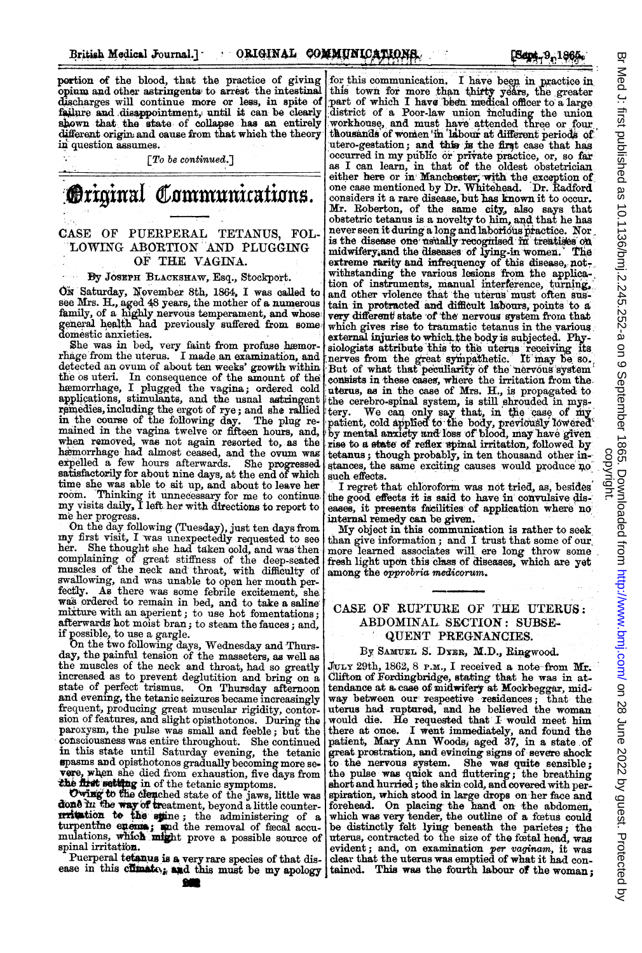portion of the blood, that the practice of giving opium and other astringents, to arrest the intestinal discharges will continue more or less, in spite of failure and disappointment, until it can be clearly shown that the state of collapse has an entirely different origin and cause from that which the theory in question assumes.

# **Original Communications.** CASE OF PUERPERAL TETANUS, FOL-7LOWING ABORTION AND PLUGGING OF THE VAGINA.

### By JOSEPH BLACXSRAW, Esq., Stockport.

ON Saturday, November 8th, 1864, I was called to see Mrs. H., aged 48 years, the mother of a numerous family, of a highly nervous temperament, and whose general health had previously suffered from some domestic anxieties.

She was in bed, very faint from profuse hæmor-<br>rhage from the uterus. I made an examination, and<br>detected an ovum of about ten weeks' growth within the os uteri. In consequence of the amount of the hæmorrhage, I plugged the vagina; ordered cold applications, stimulants, and the usual astringent remedies, including the ergot of rye; and she rallied in the course of the following day. The plug remained in the vagina twelve or fifteen hours, and, when removed, was not again resorted to, as the hæmorrhage had almost ceased, and the ovum was expelled a few hours afterwards. She progressed expelled a few hours afterwards. satisfactorily for about nine days, at the end of which time she was able to sit up, and about to leave her room. Thinking it unnecessary for me to continue. my visits daily, <sup>I</sup> left. her with directions to report to me her progress.

On the day following (Tuesday), just ten days from my first visit, <sup>I</sup> was unexpectedly requested to see her. She thought she had taken oold, and was then complaning of great stiffness of the deep-seated muscles of the neck and throat, with difficulty of swallowing, and was unable to open her mouth per-fectly. As there was some febrile excitement, she was ordered to remain in bed, and to take a saline mixture with an aperient; to use hot fomentations; afterwards hot moist bran; to steam the fauces; and, if possible, to use a gargle.

On the two following days, Wednesday and Thursday, the painful tension of the masseters, as well as the muscles of the neck and throat, had so greatly increased as to prevent deglutition and bring on a state of perfect trismus. On Thursday afternoon and evening, the tetanic seizures became increasingly frequent, producing great muscular rigidity, contor-sion of features, and slight opisthotonos. During the paroxysm, the pulse was small and feeble; but the cotsciousness was entire throughout. She continued in this state until Saturday evening, the tetanic Spasms and opisthotonos gradually becoming more se. vere, when she died from exhaustion, five days from the first setting in of the tetanic symptoms.

Owing to the clenched state of the jaws, little was done in the way of treatment, beyond a little counter-<br>**ALCOLED HE 6.6**  $\frac{1}{\sqrt{2}}$  is the administering of a turbention to the spine; the administering of a<br>turpentine enemia; and the removal of feed accu-<br>mulations, which might prove a possible source of spinal irritation.

Puerperal tetanus is a very rare species of that dis-<br>ease in this climate, and this must be my apology

[Sept. 9, 1865.

for this communication. I have been in practice in this town for more than thirty years, the greater part of which I have been medical officer to a large district of a Poor-law union including the union workhouse, and must have attended three or four<br>thousands of women in labour at different periods of utero-gestation; and this is the first case that has occurred in my public or private practice, or, so far as I can learn, in that of the oldest obstetrician either here or in: Manchester; with the exception of one case mentioned by Dr. Whitehead. Dr. Radford considers it a rare disease, but has known it to occur.<br>Mr. Roberton, of the same city, also says that<br>obstetric tetanus is a novelty to him, and that he has never seen it during a long and laborious practice. Nor is the disease one usually recognised in treatises on midwifery, and the diseases of lying-in women. The extreme rarity and infrequency of this disease, notwithstanding the various lesions from the applica-<br>tion of instruments, manual interference, turning. and other violence that the uterus must often sustain in protracted and difficult labours, points to a very different state of the nervous system from that which gives rise to traumatic tetanus in the various external injuries to which the body is subjected. Physiologists attribute this to the uterus receiving its nerves from the great sympathetic. It may be so. But of what that peculiarity of the nervous system consists in these cases, where the irritation from the. uterus, as in the case of Mrs. H., is propagated to the cerebro-spinal system, is still shrouded in mystery. We can only say that, in the case of my<br>patient, cold applied to the body, previously lowered by mental anxiety and loss of blood, may have given rise to a state of reflex spinal irritation, followed by<br>tetanus; though probably, in ten thousand other instances, the same exciting causes would produce no such effects.

I regret that chloroform was not tried, as, besides the good effects it is said to have in convulsive dis-' eases, it presents facilities of application where no internal remedy can be given.

My object in this communication is rather to seek than give information; and I trust that some of our more learned associates will ere long throw some fresh light upon this class of diseases, which are yet among the opprobria medicorum.

# CASE OF RUPTURE OF THE UTERUS: ABDOMINAL. SECTION: SUBSE-'QUENT PREGNANCIES.

#### By SAMUEL S. DYER, M.D., Ringwood.

JULY 29th, 1862, 8 P.M., I received a note-from  $Mr.$ Clifton of Fordingbridge, stating that he was in attendance at a case of midwifery at Mockbeggar, mid-<br>way between our respective residences; that the way between our respective residences; uterus had ruptured, and he believed the woman would die. He requested that I would meet him there at once. I went immediately, and found the patient, Mary Ann Woods, aged 37, in a state of great prostration, and evincing signs of severe shock to the nervous system. She was quite sensible;<br>the pulse was quick and fluttering; the breathing short and hurried; the skin-cold, and covered with perspiration, which stood in large drops on her face and forehead. On placing, the hand on the abdomen, which was very tender, the outline of a feetus could be distinctly felt lying beneath the parietes; the uterus, contracted to the size of the fcetal head, was evident; and, on examination *per vaginam*, it was<br>clear that the uterus was emptied of what it had con-<br>tainod. This was the fourth labour of the woman;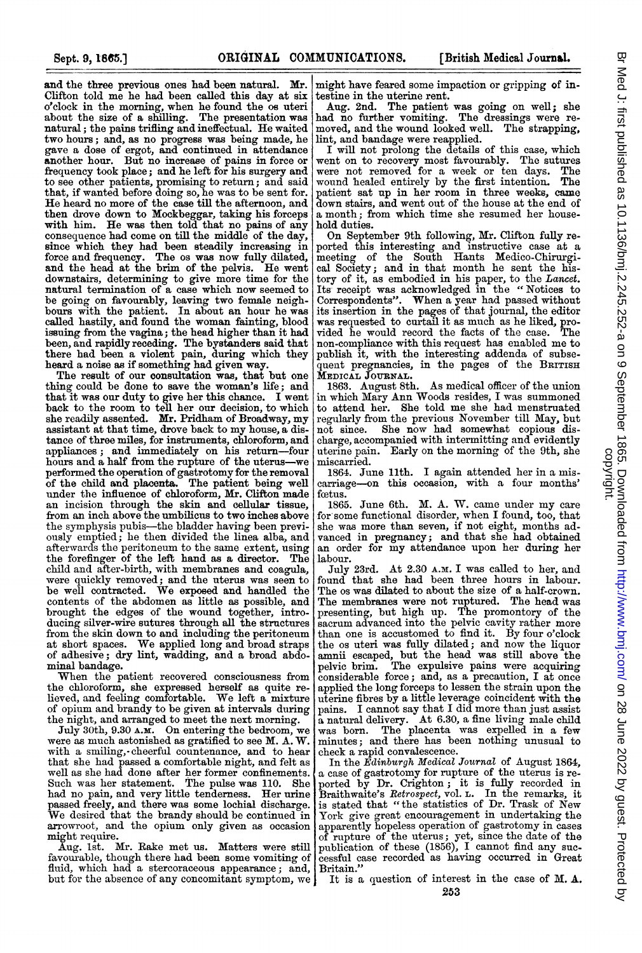and the three previous ones had been natural. Mr. Clifton told me he had been called this day at six o'clock in the morning, when he found the os uteri about the size of a shilling. The presentation was natural; the pains trifling and ineffectual. He waited two hours; and, as no progress was being made, he gave a dose of ergot, and continued in attendance another hour. But no increase of pains in force or frequency took place; and he left for his surgery and to see other patients, promising to return; and said that, if wanted before doing so, he was to be sent for. He heard no more of the case till the afternoon, and then drove down to Mockbeggar, taking his forceps with him. He was then told that no pains of any consequence had come on till the middle of the day, since which they had been steadily increasing in force and frequency. The os was now fully dilated, and the head at the brim of the pelvis. He went downstairs, determining to give more time for the natural termination of a case which now seemed to be going on favourably, leaving two female neigh-bours with the patient. In about an hour he was called hastily, and found the woman fainting, blood issuing from the vagina; the head higher than it had been, and rapidly receding. The bystanders said that there had been a violent pain, during which they heard a noise as if something had given way.

The result of our consultation was, that but one thing could be done to save the woman's life; and that it was our duty to give her this chance. I went back to the room to tell her our decision, to which she readily assented. Mr. Pridham of Broadway, my assistant at that time, drove back to my house, a distance of three miles, for instruments, chloroform, and appliances; and immediately on his return-four hours and a half from the rupture of the uterus-we performed the operation of gastrotomy for the removal of the child and placenta. The patient being well under the influence of chloroform, Mr. Clifton made an incision through the skin and cellular tissue, from an inch above the umbilicus to two inches above the symphysis pubis-the bladder having been previously emptied; he then divided the linea alba, and afterwards the peritoneum to the same extent, using the forefinger of the left hand as a director. The child and after-birth, with membranes and coagula, were quickly removed; and the uterus was seen to be well contracted. We exposed and handled the contents of the abdomen as little as possible, and brought the edges of the wound together, introducing silver-wire sutures through all the structures from the skin down to and including the peritoneum at short spaces. We applied long and broad straps of adhesive; dry lint, wadding, and a broad abdominal bandage.

When the patient recovered consciousness from the chloroform, she expressed herself as quite re-lieved, and feeling comfortable. We left <sup>a</sup> mixture of opium and brandy to be given at intervals during

the night, and arranged to meet the next morning. July 30th, 9.30 A.M. On entering the bedroom, we were as much astonished as gratified to see M. A. W. with a smiling,- cheerful countenance, and to hear that she had passed a comfortable night, and felt as well as she had done after her former confinements. Such was her statement. The pulse was 110. She had no pain, and very little tenderness. Her urine passed freely, and there was some lochial discharge. We desired that the brandy should be continued in arrowroot, and the opium only given as occasion might require.

Aug. 1st. Mr. Rake met us. Matters were still favourable, though there had been some vomiting of fluid, which had a stercoraceous appearance; and, but for the absence of any concomitant symptom, we

might have feared some impaction or gripping of in-

testine in the uterine rent. Aug. 2nd. The patient was going on well; she had no further vomiting. The dressings were removed, and the wound looked well. The strapping,

lint, and bandage were reapplied. I will not prolong the details of this case, which went on to recovery most favourably. The sutures were not removed for a week or ten days. The wound healed entirely by the first intention. The patient sat up in her room in three weeks, came down stairs, and went out of the house at the end of a month; from which time she resumed her household duties.

On September 9th following, Mr. Clifton fully re-ported this interesting and instructive case at a meeting of the South Hants Medico-Chirurgical Society; and in that month he sent the history of it, as embodied in his paper, to the Lancet. Its receipt was acknowledged in the "Notices to Correspondents". When <sup>a</sup> year had passed without its insertion in the pages of that journal, the editor was requested to curtail it as much as he liked, provided he would record the facts of the case. The non-compliance with this request has enabled me to publish it, with the interesting addenda of subsequent pregnancies, in the pages of the BRITISH MEDICAL JOURNAL.

1863. August 8th. As medical officer of the union in which Mary Ann Woods resides, <sup>I</sup> was summoned to attend her. She told me she had menstruated regularly from the previous November till May, but not since. She now had somewhat copious discharge, accompanied with intermitting and evidently uterine pain. Early on the morning of the 9th, she miscarried.

1864. June 11th. I again attended her in a miscarriage-on this occasion, with a four months' fetus.

1865. June 6th. M. A. W. came under my care for some functional disorder, when <sup>I</sup> found, too, that she was more than seven, if not eight, months advanced in pregnancy; and that she had obtained an order for my attendance upon her during her labour.

July 23rd. At 2.30 A.M. I was called to her, and found that she had been three hours in labour. The os was dilated to about the size of a half-crown. The membranes were not ruptured. The head was presenting, but high up. The promontory of the sacrum advanced into the pelvic cavity rather more than one is accustomed to find it. By four o'clock the os uteri was fully dilated; and now the liquor amnii escaped, but the head was still above the pelvic brim. The expulsive pains were acquiring considerable force; and, as a precaution, I at once applied the long forceps to lessen the strain upon the uterine fibres by a little leverage coincident with the pains. <sup>I</sup> cannot say that <sup>I</sup> did more than just assist a natural delivery. At 6.30, a fine living male child was born. The placenta was expelled in a few minutes; and there has been nothing unusual to check a rapid convalescence.

In the Edinburgh Medical Journal of August 1864, a case of gastrotomy for rupture of the uterus is reported by Dr. Crighton; it is fully recorded in Braithwaite's Retrospect, vol. L. In the remarks, it is stated that "the statistics of Dr. Trask of New York give great encouragement in undertaking the apparently hopeless operation of gastrotomy in cases of rupture of the uterus; yet, since the date of the publication of these (1856), <sup>I</sup> cannot find any suc-cessful case recorded as having occurred in Great Britain."

It is a question of interest in the case of M. A.